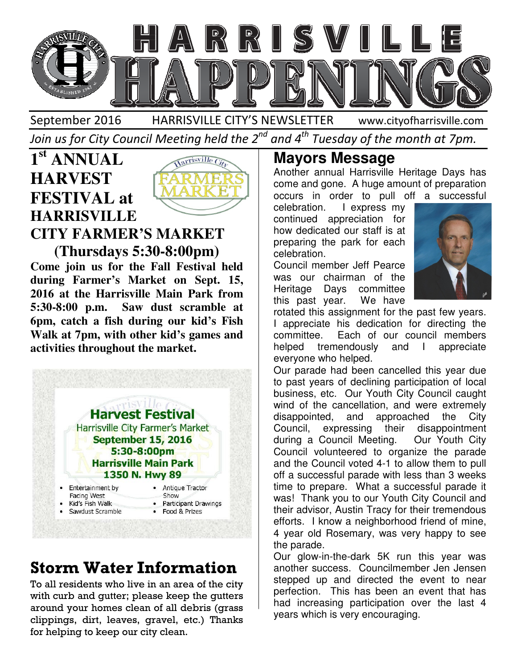

September 2016 HARRISVILLE CITY'S NEWSLETTER Join us for City Council Meeting held the 2 $^{\mathit{nd}}$  and 4 $^{\mathit{th}}$  Tuesday of the month at 7pm. www.cityofharrisville.com

### **1 st ANNUAL HARVEST FESTIVAL at HARRISVILLE CITY FARMER'S MARKET**

Y FARMER'S MARKET!<br>(Thursdays 5:30-8:00pm) **Come join us for the Fall Festival held during Farmer's Market on Sept. 15, 2016 Come join us for the Fall Festival held during Farmer's Market on Sept. 15,<br>2016 at the Harrisville Main Park from 5:30-8:00 p.m. Saw dust scramble at**  5:30-8:00 p.m. Saw dust scramble at<br>6pm, catch a fish during our kid's Fish Walk at 7pm, with other kid's games and **activities throughout the market.**



# **Storm Water Information**

To all residents who live in an area of the city with curb and gutter; please keep the gutters around your homes clean of all debris (grass clippings, dirt, leaves, gravel, etc.) Thanks for helping to keep our city clean.

Another annual Harrisville Heritage Days has come and gone. A huge amount of preparation Another annual Harrisville Heritage Days has<br>come and gone. A huge amount of preparation<br>occurs in order to pull off a successful

celebration. I express my continued appreciation for how dedicated our staff is at preparing the park for each celebration.

Council member Jeff Pearce was our chairman of the Heritage Days committee this past year. We have



rotated this assignment for the past few years. I appreciate his dedication for directing the committee. Each of our council members helped tremendously and I appreciate everyone who helped. celebration. I express my<br>continued appreciation for<br>how dedicated our staff is at<br>preparing the park for each<br>celebration.<br>Council member Jeff Pearce<br>was our chairman of the<br>Heritage Days committee<br>this past year. We have

Our parade had been cancelled this year due to past years of declining participation business, etc. Our Youth City Council caught wind of the cancellation, and were extremely disappointed, and approached the City Council, expressing their disappointment during a Council Meeting. Our Youth City Council volunteered to organize the parade and the Council voted 4-1 to allow them to pull off a successful parade with less than 3 weeks time to prepare. What a successful parade it was! Thank you to our Youth City Council and their advisor, Austin Tracy for their tremendous efforts. I know a neighborhood friend of mine, 4 year old Rosemary, was very happy to see the parade. business, etc. Our Youth City Council caught<br>wind of the cancellation, and were extremely<br>disappointed, and approached the City<br>Council, expressing their disappointment<br>during a Council Meeting. Our Youth City<br>Council volu and the Council voted 4-1 to allow them to pull<br>off a successful parade with less than 3 weeks<br>time to prepare. What a successful parade it<br>was! Thank you to our Youth City Council and<br>their advisor, Austin Tracy for their

Our glow-in-the-dark 5K run this year was another success. Councilmember Jen Jensen stepped up and directed the event to near perfection. This has been an event had increasing participation over the last 4 years which is very encouraging.